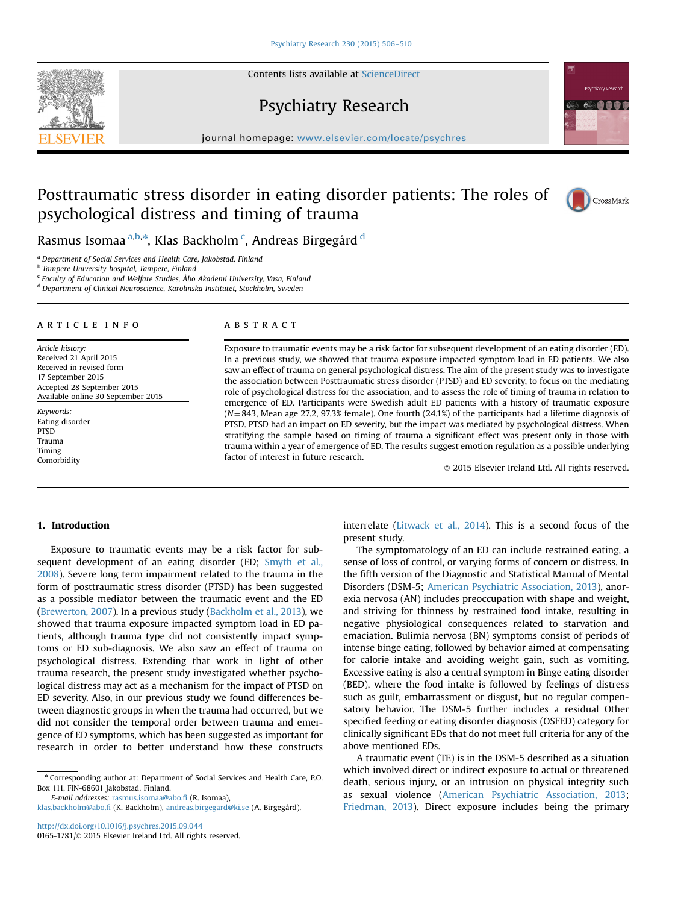Contents lists available at ScienceDirect

# Psychiatry Research

journal homepage: <www.elsevier.com/locate/psychres>e/psychrese/psychrese/psychrese/psychrese/psychrese/psychrese/psychrese/psychrese/psychrese/psychrese/psychrese/psychrese/psychrese/psychrese/psychrese/psychrese/psychrese

# Posttraumatic stress disorder in eating disorder patients: The roles of psychological distress and timing of trauma

Rasmus Isomaa <sup>a,b,</sup>\*, Klas Backholm <sup>c</sup>, Andreas Birgegård <sup>d</sup>

<sup>a</sup> Department of Social Services and Health Care, Jakobstad, Finland

**b Tampere University hospital, Tampere, Finland** 

<sup>c</sup> Faculty of Education and Welfare Studies, Åbo Akademi University, Vasa, Finland

<sup>d</sup> Department of Clinical Neuroscience, Karolinska Institutet, Stockholm, Sweden

#### article info

Article history: Received 21 April 2015 Received in revised form 17 September 2015 Accepted 28 September 2015 Available online 30 September 2015

Keywords: Eating disorder PTSD Trauma Timing Comorbidity

## ABSTRACT

Exposure to traumatic events may be a risk factor for subsequent development of an eating disorder (ED). In a previous study, we showed that trauma exposure impacted symptom load in ED patients. We also saw an effect of trauma on general psychological distress. The aim of the present study was to investigate the association between Posttraumatic stress disorder (PTSD) and ED severity, to focus on the mediating role of psychological distress for the association, and to assess the role of timing of trauma in relation to emergence of ED. Participants were Swedish adult ED patients with a history of traumatic exposure  $(N=843,$  Mean age 27.2, 97.3% female). One fourth (24.1%) of the participants had a lifetime diagnosis of PTSD. PTSD had an impact on ED severity, but the impact was mediated by psychological distress. When stratifying the sample based on timing of trauma a significant effect was present only in those with trauma within a year of emergence of ED. The results suggest emotion regulation as a possible underlying factor of interest in future research.

 $\odot$  2015 Elsevier Ireland Ltd. All rights reserved.

## 1. Introduction

Exposure to traumatic events may be a risk factor for subsequent development of an eating disorder (ED; Smyth et al., 2008). Severe long term impairment related to the trauma in the form of posttraumatic stress disorder (PTSD) has been suggested as a possible mediator between the traumatic event and the ED (Brewerton, 2007). In a previous study (Backholm et al., 2013), we showed that trauma exposure impacted symptom load in ED patients, although trauma type did not consistently impact symptoms or ED sub-diagnosis. We also saw an effect of trauma on psychological distress. Extending that work in light of other trauma research, the present study investigated whether psychological distress may act as a mechanism for the impact of PTSD on ED severity. Also, in our previous study we found differences between diagnostic groups in when the trauma had occurred, but we did not consider the temporal order between trauma and emergence of ED symptoms, which has been suggested as important for research in order to better understand how these constructs

<sup>n</sup> Corresponding author at: Department of Social Services and Health Care, P.O. Box 111, FIN-68601 Jakobstad, Finland.

E-mail addresses: [rasmus.isomaa@abo.](mailto:rasmus.isomaa@abo.fi)fi (R. Isomaa), [klas.backholm@abo.](mailto:klas.backholm@abo.fi)fi (K. Backholm), [andreas.birgegard@ki.se](mailto:andreas.birgegard@ki.se) (A. Birgegård).

<http://dx.doi.org/10.1016/j.psychres.2015.09.044> 0165-1781/© 2015 Elsevier Ireland Ltd. All rights reserved. interrelate (Litwack et al., 2014). This is a second focus of the present study.

The symptomatology of an ED can include restrained eating, a sense of loss of control, or varying forms of concern or distress. In the fifth version of the Diagnostic and Statistical Manual of Mental Disorders (DSM-5; American Psychiatric Association, 2013), anorexia nervosa (AN) includes preoccupation with shape and weight, and striving for thinness by restrained food intake, resulting in negative physiological consequences related to starvation and emaciation. Bulimia nervosa (BN) symptoms consist of periods of intense binge eating, followed by behavior aimed at compensating for calorie intake and avoiding weight gain, such as vomiting. Excessive eating is also a central symptom in Binge eating disorder (BED), where the food intake is followed by feelings of distress such as guilt, embarrassment or disgust, but no regular compensatory behavior. The DSM-5 further includes a residual Other specified feeding or eating disorder diagnosis (OSFED) category for clinically significant EDs that do not meet full criteria for any of the above mentioned EDs.

A traumatic event (TE) is in the DSM-5 described as a situation which involved direct or indirect exposure to actual or threatened death, serious injury, or an intrusion on physical integrity such as sexual violence (American Psychiatric Association, 2013; Friedman, 2013). Direct exposure includes being the primary





CrossMark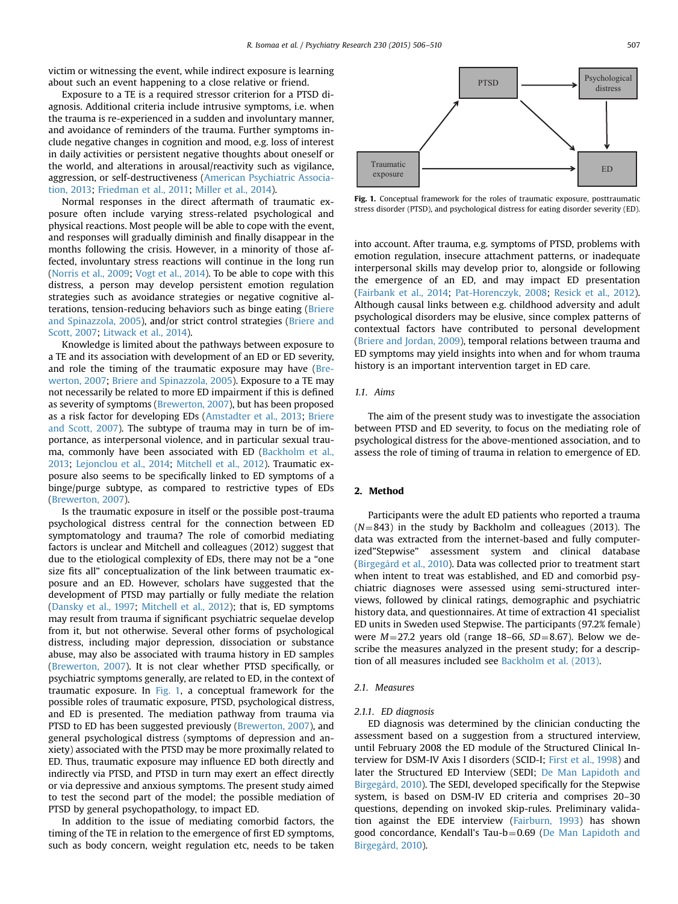victim or witnessing the event, while indirect exposure is learning about such an event happening to a close relative or friend.

Exposure to a TE is a required stressor criterion for a PTSD diagnosis. Additional criteria include intrusive symptoms, i.e. when the trauma is re-experienced in a sudden and involuntary manner, and avoidance of reminders of the trauma. Further symptoms include negative changes in cognition and mood, e.g. loss of interest in daily activities or persistent negative thoughts about oneself or the world, and alterations in arousal/reactivity such as vigilance, aggression, or self-destructiveness (American Psychiatric Association, 2013; Friedman et al., 2011; Miller et al., 2014).

Normal responses in the direct aftermath of traumatic exposure often include varying stress-related psychological and physical reactions. Most people will be able to cope with the event, and responses will gradually diminish and finally disappear in the months following the crisis. However, in a minority of those affected, involuntary stress reactions will continue in the long run (Norris et al., 2009; Vogt et al., 2014). To be able to cope with this distress, a person may develop persistent emotion regulation strategies such as avoidance strategies or negative cognitive alterations, tension-reducing behaviors such as binge eating (Briere and Spinazzola, 2005), and/or strict control strategies (Briere and Scott, 2007; Litwack et al., 2014).

Knowledge is limited about the pathways between exposure to a TE and its association with development of an ED or ED severity, and role the timing of the traumatic exposure may have (Brewerton, 2007; Briere and Spinazzola, 2005). Exposure to a TE may not necessarily be related to more ED impairment if this is defined as severity of symptoms (Brewerton, 2007), but has been proposed as a risk factor for developing EDs (Amstadter et al., 2013; Briere and Scott, 2007). The subtype of trauma may in turn be of importance, as interpersonal violence, and in particular sexual trauma, commonly have been associated with ED (Backholm et al., 2013; Lejonclou et al., 2014; Mitchell et al., 2012). Traumatic exposure also seems to be specifically linked to ED symptoms of a binge/purge subtype, as compared to restrictive types of EDs (Brewerton, 2007).

Is the traumatic exposure in itself or the possible post-trauma psychological distress central for the connection between ED symptomatology and trauma? The role of comorbid mediating factors is unclear and Mitchell and colleagues (2012) suggest that due to the etiological complexity of EDs, there may not be a "one size fits all" conceptualization of the link between traumatic exposure and an ED. However, scholars have suggested that the development of PTSD may partially or fully mediate the relation (Dansky et al., 1997; Mitchell et al., 2012); that is, ED symptoms may result from trauma if significant psychiatric sequelae develop from it, but not otherwise. Several other forms of psychological distress, including major depression, dissociation or substance abuse, may also be associated with trauma history in ED samples (Brewerton, 2007). It is not clear whether PTSD specifically, or psychiatric symptoms generally, are related to ED, in the context of traumatic exposure. In Fig. 1, a conceptual framework for the possible roles of traumatic exposure, PTSD, psychological distress, and ED is presented. The mediation pathway from trauma via PTSD to ED has been suggested previously (Brewerton, 2007), and general psychological distress (symptoms of depression and anxiety) associated with the PTSD may be more proximally related to ED. Thus, traumatic exposure may influence ED both directly and indirectly via PTSD, and PTSD in turn may exert an effect directly or via depressive and anxious symptoms. The present study aimed to test the second part of the model; the possible mediation of PTSD by general psychopathology, to impact ED.

In addition to the issue of mediating comorbid factors, the timing of the TE in relation to the emergence of first ED symptoms, such as body concern, weight regulation etc, needs to be taken



Fig. 1. Conceptual framework for the roles of traumatic exposure, posttraumatic stress disorder (PTSD), and psychological distress for eating disorder severity (ED).

into account. After trauma, e.g. symptoms of PTSD, problems with emotion regulation, insecure attachment patterns, or inadequate interpersonal skills may develop prior to, alongside or following the emergence of an ED, and may impact ED presentation (Fairbank et al., 2014; Pat-Horenczyk, 2008; Resick et al., 2012). Although causal links between e.g. childhood adversity and adult psychological disorders may be elusive, since complex patterns of contextual factors have contributed to personal development (Briere and Jordan, 2009), temporal relations between trauma and ED symptoms may yield insights into when and for whom trauma history is an important intervention target in ED care.

#### 1.1. Aims

The aim of the present study was to investigate the association between PTSD and ED severity, to focus on the mediating role of psychological distress for the above-mentioned association, and to assess the role of timing of trauma in relation to emergence of ED.

#### 2. Method

Participants were the adult ED patients who reported a trauma  $(N=843)$  in the study by Backholm and colleagues (2013). The data was extracted from the internet-based and fully computerized"Stepwise" assessment system and clinical database (Birgegård et al., 2010). Data was collected prior to treatment start when intent to treat was established, and ED and comorbid psychiatric diagnoses were assessed using semi-structured interviews, followed by clinical ratings, demographic and psychiatric history data, and questionnaires. At time of extraction 41 specialist ED units in Sweden used Stepwise. The participants (97.2% female) were  $M=27.2$  years old (range 18–66,  $SD=8.67$ ). Below we describe the measures analyzed in the present study; for a description of all measures included see Backholm et al. (2013).

## 2.1. Measures

#### 2.1.1. ED diagnosis

ED diagnosis was determined by the clinician conducting the assessment based on a suggestion from a structured interview, until February 2008 the ED module of the Structured Clinical Interview for DSM-IV Axis I disorders (SCID-I; First et al., 1998) and later the Structured ED Interview (SEDI; De Man Lapidoth and Birgegård, 2010). The SEDI, developed specifically for the Stepwise system, is based on DSM-IV ED criteria and comprises 20–30 questions, depending on invoked skip-rules. Preliminary validation against the EDE interview (Fairburn, 1993) has shown good concordance, Kendall's Tau-b=0.69 (De Man Lapidoth and Birgegård, 2010).